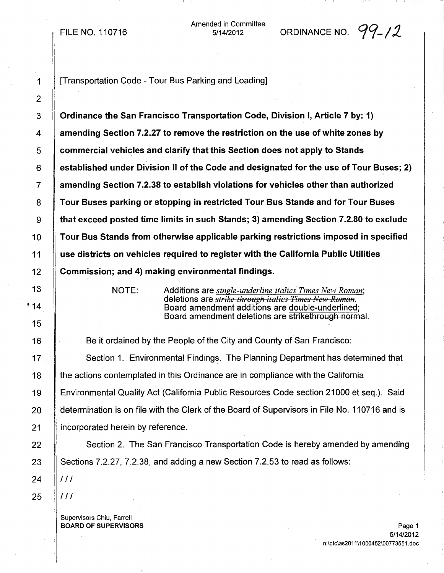## FILE NO. 110716

Amended in Committee ded in Committee  $\overline{\phantom{0}}$  ORDINANCE NO.  $\overline{\phantom{0}}\overline{\phantom{0}}\overline{\phantom{0}}$ 

2

1 **I** [Transportation Code - Tour Bus Parking and Loading]

3 Ordinance the San Francisco Transportation Code, Division I, Article 7 by: 1) 4 amending Section 7.2.27 to remove the restriction on the use of white zones by 5 Commercial vehicles and clarify that this Section does not apply to Stands  $6 \parallel$  established under Division II of the Code and designated for the use of Tour Buses; 2) 7 amending Section 7.2.38 to establish violations for vehicles other than authorized 8 Tour Buses parking or stopping in restricted Tour Bus Stands and for Tour Buses 9 that exceed posted time limits in such Stands; 3) amending Section 7.2.80 to exclude 10 Tour Bus Stands from otherwise applicable parking restrictions imposed in specified 11 use districts on vehicles required to register with the California Public Utilities 12 Commission; and 4) making environmental findings.

NOTE: Additions are *single-underline italics Times New Roman;* deletions are *strike through italics Times New Romef/;.* Board amendment additions are double-underlined; Board amendment deletions are strikethrough normal.

**Solut** Be it ordained by the People of the City and County of San Francisco:  $\parallel$  Section 1. Environmental Findings. The Planning Department has determined that 18 the actions contemplated in this Ordinance are in compliance with the California Environmental Quality Act (California Public Resources Code section 21000 et seq.). Said determination is on file with the Clerk of the Board of Supervisors in File No. 110716 and is 21 | incorporated herein by reference.

22 | Section 2. The San Francisco Transportation Code is hereby amended by amending 23  $\parallel$  Sections 7.2.27, 7.2.38, and adding a new Section 7.2.53 to read as follows:

24  $\|$  ///

 $25$  |  $111$ 

Supervisors Chiu, Farrell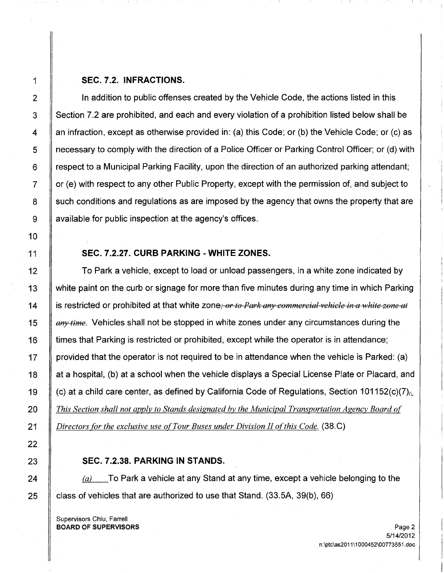## 1 SEC. 7.2. INFRACTIONS.

2 | In addition to public offenses created by the Vehicle Code, the actions listed in this  $3 \parallel$  Section 7.2 are prohibited, and each and every violation of a prohibition listed below shall be 4  $\parallel$  an infraction, except as otherwise provided in: (a) this Code; or (b) the Vehicle Code; or (c) as 5 necessary to comply with the direction of a Police Officer or Parking Control Officer; or (d) with  $6 \parallel$  respect to a Municipal Parking Facility, upon the direction of an authorized parking attendant;  $7 \parallel$  or (e) with respect to any other Public Property, except with the permission of, and subject to 8 S such conditions and regulations as are imposed by the agency that owns the property that are 9 available for public inspection at the agency's offices.

# 11 SEC. 7.2.27. CURB PARKING - WHITE ZONES.

**To Park a vehicle, except to load or unload passengers, in a white zone indicated by**  white paint on the curb or signage for more than five minutes during any time in which Parking  $\parallel$  is restricted or prohibited at that white zone; *or to Park any commercial vehicle in a white zone at teartime*. Vehicles shall not be stopped in white zones under any circumstances during the 16 If times that Parking is restricted or prohibited, except while the operator is in attendance;  $\parallel$  provided that the operator is not required to be in attendance when the vehicle is Parked: (a) 18 | at a hospital, (b) at a school when the vehicle displays a Special License Plate or Placard, and  $\parallel$  (c) at a child care center, as defined by California Code of Regulations, Section 101152(c)(7). *This Section shall not apply to Stands designated by the Municipal Transportation Agency Board o( Directors for the exclusive use o(Tour Buses under Division IIo{this Code.* (38.C)

## SEC. 7.2.38. PARKING IN STANDS.

24  $\parallel$  (a) To Park a vehicle at any Stand at any time, except a vehicle belonging to the 25  $\parallel$  class of vehicles that are authorized to use that Stand. (33.5A, 39(b), 66)

Supervisors Chiu, Farrell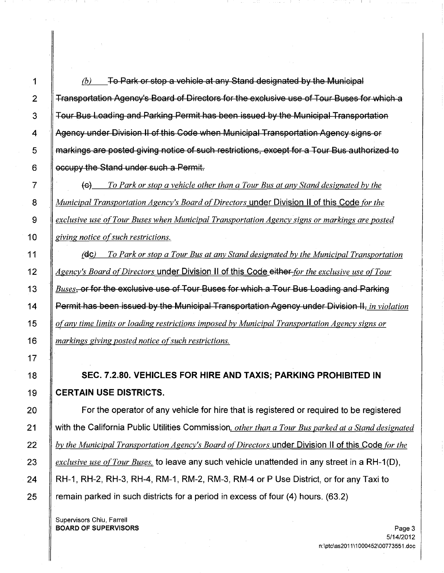$\parallel$  6) To Park or stop a vehicle at any Stand designated by the Municipal **Transportation Agency's Board of Directors for the exclusive use of Tour Buses for which a The Suide Bus Loading and Parking Permit has been issued by the Municipal Transportation** 4 Agency under Division II of this Code when Municipal Transportation Agency signs or **If markings are posted giving notice of such restrictions, except for a Tour Bus authorized to** | occupy the Stand under such a Permit.

 *To Park or stop a vehicle other than a Tour Bus at any Stand designated by the Municipal Transportation Agency's Board of Directors* under Division II of this Code *for the exclusive use ofTour Buses when Municipal Transportation Agency signs or markings are posted giving notice of such restrictions.* 

 {Gc) *To Park or stop a Tour Bus at any Stand designated by the Municipal Transportation Agency's Board ofDirectors* under Division II of this Code either *for the exclusive use ofTour Buses*, or for the exclusive use of Tour Buses for which a Tour Bus Loading and Parking Permit has been issued by the Municipal Transportation Agency under Division II, *in violation o(any time limits orloading restrictions imposed by Municipal Transportation Agency signs or markings giving posted notice ofsuch restrictions.*

18 SEC. 7.2.80. VEHICLES FOR HIRE AND TAXIS; PARKING PROHIBITED IN 19 CERTAIN USE DISTRICTS.

**For the operator of any vehicle for hire that is registered or required to be registered**  with the California Public Utilities Commission. *other than a Tour Bus parked at a Stand designated by the Municipal Transportation Agency's Board ofDirectors* under Division II of this Code *for the exclusive use ofTour Buses,* to leave any such vehicle unattended in any street in a RH-1(D), 24 | RH-1, RH-2, RH-3, RH-4, RM-1, RM-2, RM-3, RM-4 or P Use District, or for any Taxi to **ramain parked in such districts for a period in excess of four (4) hours.** (63.2)

Supervisors Chiu, Farrell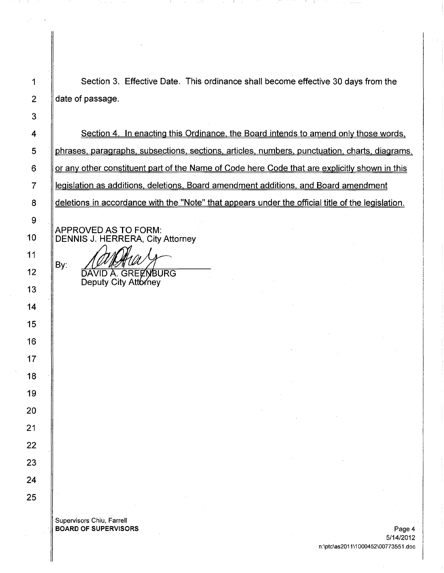| 1              | Section 3. Effective Date. This ordinance shall become effective 30 days from the                 |
|----------------|---------------------------------------------------------------------------------------------------|
| $\overline{2}$ | date of passage.                                                                                  |
| 3              |                                                                                                   |
| 4              | Section 4. In enacting this Ordinance, the Board intends to amend only those words,               |
| 5              | phrases, paragraphs, subsections, sections, articles, numbers, punctuation, charts, diagrams,     |
| 6              | or any other constituent part of the Name of Code here Code that are explicitly shown in this     |
| 7              | legislation as additions, deletions, Board amendment additions, and Board amendment               |
| 8              | deletions in accordance with the "Note" that appears under the official title of the legislation. |
| 9              |                                                                                                   |
| 10             | <b>APPROVED AS TO FORM:</b><br><b>DENNIS J. HERRERA, City Attorney</b>                            |
| 11             |                                                                                                   |
| 12             | By:<br>DAVID A. GREENBURG                                                                         |
| 13             | Deputy City Attorney                                                                              |
| 14             |                                                                                                   |
| 15             |                                                                                                   |
| 16             |                                                                                                   |
| 17             |                                                                                                   |
| 18             |                                                                                                   |
| 19             |                                                                                                   |
| 20             |                                                                                                   |
| 21             |                                                                                                   |
| 22             |                                                                                                   |
| 23             |                                                                                                   |
| 24             |                                                                                                   |
| 25             |                                                                                                   |
|                | Supervisors Chiu, Farrell                                                                         |
|                | <b>BOARD OF SUPERVISORS</b><br>Page 4                                                             |

ł

 $\sim 1$ 

-11 ST

o to st

AT 1

医牙根 电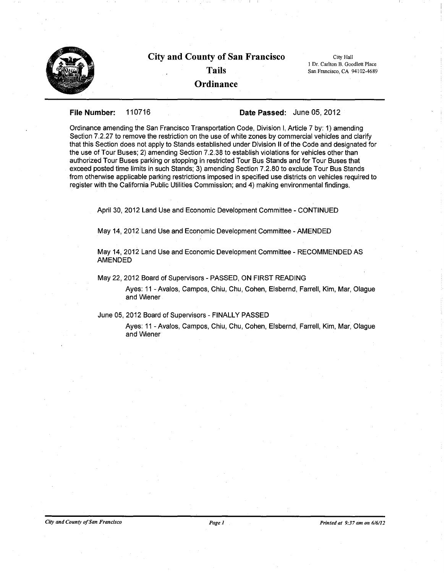

# City and County of San Francisco Tails

**Ordinance** 

City Hall I Dr. Carlton B. Goodlett Place San Francisco, CA 94102-4689

## File Number: 110716 Date Passed: June 05, 2012

Ordinance amending the San Francisco Transportation Code, Division I, Article 7 by: 1) amending Section 7.2.27 to remove the restriction on the use of white zones by commercial vehicles and clarify that this Section does not apply to Stands established under Division II of the Code and designated for the use of Tour Buses; 2) amending Section 7.2.38 to establish violations for vehicles other than authorized Tour Buses parking or stopping in restricted Tour Bus Stands and for Tour Buses that exceed posted time limits in such Stands; 3) amending Section 7.2.80 to exclude Tour Bus Stands from otherwise applicable parking restrictions imposed in specified use districts on vehicles required to register with the California Public Utilities Commission; and 4) making environmental findings.

April 30, 2012 Land Use and Economic Development Committee - CONTINUED

May 14, 2012 Land Use and Economic Development Committee - AMENDED

May 14, 2012 Land Use and Economic Development Committee - RECOMMENDED AS AMENDED

### May 22,2012 Board of Supervisors - PASSED, ON FIRST READING

Ayes: 11 - Avalos, Campos, Chiu, Chu, Cohen, Elsbernd, Farrell, Kim, Mar, Olague and Wiener

## June 05, 2012 Board of Supervisors - FINALLY PASSED

Ayes: 11 - Avalos, Campos, Chiu, Chu, Cohen, Elsbernd, Farrell, Kim, Mar, Olague and Wiener